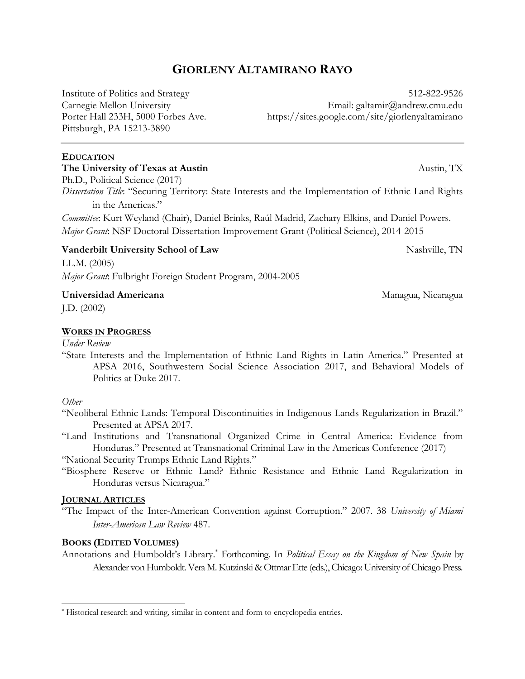# **GIORLENY ALTAMIRANO RAYO**

Institute of Politics and Strategy Carnegie Mellon University Porter Hall 233H, 5000 Forbes Ave. Pittsburgh, PA 15213-3890

512-822-9526 Email: galtamir@andrew.cmu.edu https://sites.google.com/site/giorlenyaltamirano

### **EDUCATION**

#### **The University of Texas at Austin**

Ph.D., Political Science (2017) *Dissertation Title*: "Securing Territory: State Interests and the Implementation of Ethnic Land Rights

in the Americas." *Committee*: Kurt Weyland (Chair), Daniel Brinks, Raúl Madrid, Zachary Elkins, and Daniel Powers.

*Major Grant*: NSF Doctoral Dissertation Improvement Grant (Political Science), 2014-2015

# **Vanderbilt University School of Law**

LL.M. (2005) *Major Grant*: Fulbright Foreign Student Program, 2004-2005

### **Universidad Americana**

J.D. (2002)

# **WORKS IN PROGRESS**

*Under Review* 

"State Interests and the Implementation of Ethnic Land Rights in Latin America." Presented at APSA 2016, Southwestern Social Science Association 2017, and Behavioral Models of Politics at Duke 2017.

#### *Other*

- "Neoliberal Ethnic Lands: Temporal Discontinuities in Indigenous Lands Regularization in Brazil." Presented at APSA 2017.
- "Land Institutions and Transnational Organized Crime in Central America: Evidence from Honduras." Presented at Transnational Criminal Law in the Americas Conference (2017)

"National Security Trumps Ethnic Land Rights."

"Biosphere Reserve or Ethnic Land? Ethnic Resistance and Ethnic Land Regularization in Honduras versus Nicaragua."

# **JOURNAL ARTICLES**

"The Impact of the Inter-American Convention against Corruption." 2007. 38 *University of Miami Inter-American Law Review* 487.

# **BOOKS (EDITED VOLUMES)**

Annotations and Humboldt's Library. \* Forthcoming. In *Political Essay on the Kingdom of New Spain* by Alexander von Humboldt. Vera M. Kutzinski & Ottmar Ette (eds.),Chicago: University ofChicago Press.

Austin, TX

Nashville, TN

Managua, Nicaragua

<sup>&</sup>lt;u>.</u> \* Historical research and writing, similar in content and form to encyclopedia entries.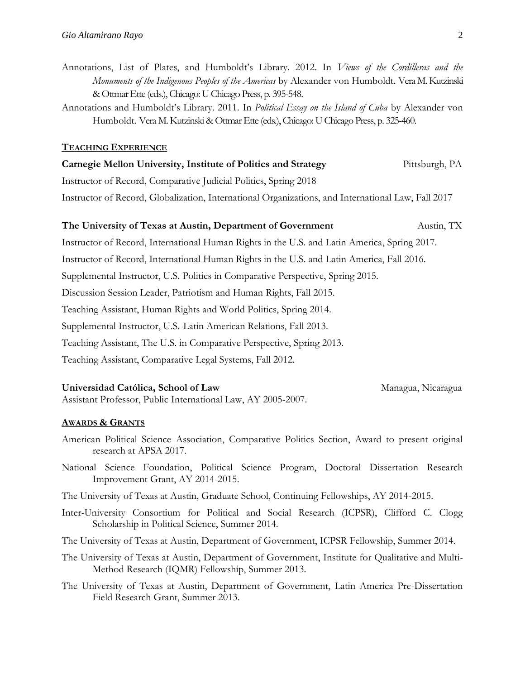- Annotations, List of Plates, and Humboldt's Library. 2012. In *Views of the Cordilleras and the Monuments of the Indigenous Peoples of the Americas* by Alexander von Humboldt. Vera M. Kutzinski & Ottmar Ette (eds.), Chicago: U Chicago Press, p. 395-548.
- Annotations and Humboldt's Library. 2011. In *Political Essay on the Island of Cuba* by Alexander von Humboldt. Vera M. Kutzinski & Ottmar Ette (eds.), Chicago: U Chicago Press, p. 325-460.

#### **TEACHING EXPERIENCE**

| Carnegie Mellon University, Institute of Politics and Strategy                                     | Pittsburgh, PA |
|----------------------------------------------------------------------------------------------------|----------------|
| Instructor of Record, Comparative Judicial Politics, Spring 2018                                   |                |
| Instructor of Record, Globalization, International Organizations, and International Law, Fall 2017 |                |

#### **The University of Texas at Austin, Department of Government** Austin, TX

Instructor of Record, International Human Rights in the U.S. and Latin America, Spring 2017. Instructor of Record, International Human Rights in the U.S. and Latin America, Fall 2016. Supplemental Instructor, U.S. Politics in Comparative Perspective, Spring 2015. Discussion Session Leader, Patriotism and Human Rights, Fall 2015. Teaching Assistant, Human Rights and World Politics, Spring 2014. Supplemental Instructor, U.S.-Latin American Relations, Fall 2013. Teaching Assistant, The U.S. in Comparative Perspective, Spring 2013. Teaching Assistant, Comparative Legal Systems, Fall 2012.

#### **Universidad Católica, School of Law**

Assistant Professor, Public International Law, AY 2005-2007.

#### **AWARDS & GRANTS**

- American Political Science Association, Comparative Politics Section, Award to present original research at APSA 2017.
- National Science Foundation, Political Science Program, Doctoral Dissertation Research Improvement Grant, AY 2014-2015.
- The University of Texas at Austin, Graduate School, Continuing Fellowships, AY 2014-2015.
- Inter-University Consortium for Political and Social Research (ICPSR), Clifford C. Clogg Scholarship in Political Science, Summer 2014.
- The University of Texas at Austin, Department of Government, ICPSR Fellowship, Summer 2014.
- The University of Texas at Austin, Department of Government, Institute for Qualitative and Multi-Method Research (IQMR) Fellowship, Summer 2013.
- The University of Texas at Austin, Department of Government, Latin America Pre-Dissertation Field Research Grant, Summer 2013.

Managua, Nicaragua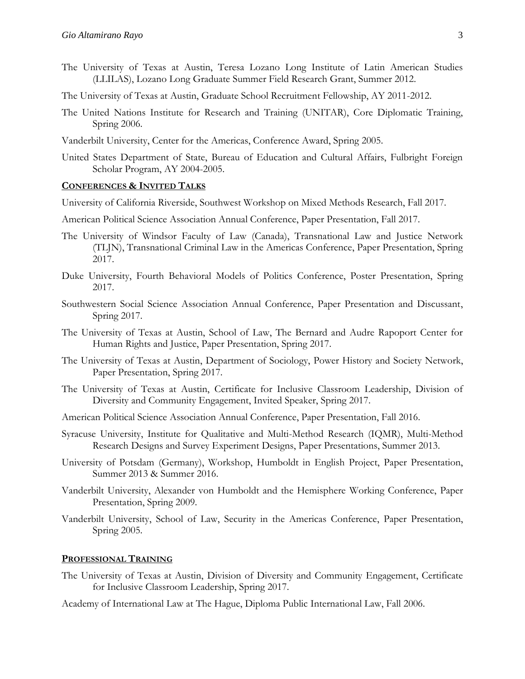- The University of Texas at Austin, Teresa Lozano Long Institute of Latin American Studies (LLILAS), Lozano Long Graduate Summer Field Research Grant, Summer 2012.
- The University of Texas at Austin, Graduate School Recruitment Fellowship, AY 2011-2012.
- The United Nations Institute for Research and Training (UNITAR), Core Diplomatic Training, Spring 2006.
- Vanderbilt University, Center for the Americas, Conference Award, Spring 2005.
- United States Department of State, Bureau of Education and Cultural Affairs, Fulbright Foreign Scholar Program, AY 2004-2005.

#### **CONFERENCES & INVITED TALKS**

University of California Riverside, Southwest Workshop on Mixed Methods Research, Fall 2017.

- American Political Science Association Annual Conference, Paper Presentation, Fall 2017.
- The University of Windsor Faculty of Law (Canada), Transnational Law and Justice Network (TLJN), Transnational Criminal Law in the Americas Conference, Paper Presentation, Spring 2017.
- Duke University, Fourth Behavioral Models of Politics Conference, Poster Presentation, Spring 2017.
- Southwestern Social Science Association Annual Conference, Paper Presentation and Discussant, Spring 2017.
- The University of Texas at Austin, School of Law, The Bernard and Audre Rapoport Center for Human Rights and Justice, Paper Presentation, Spring 2017.
- The University of Texas at Austin, Department of Sociology, Power History and Society Network, Paper Presentation, Spring 2017.
- The University of Texas at Austin, Certificate for Inclusive Classroom Leadership, Division of Diversity and Community Engagement, Invited Speaker, Spring 2017.
- American Political Science Association Annual Conference, Paper Presentation, Fall 2016.
- Syracuse University, Institute for Qualitative and Multi-Method Research (IQMR), Multi-Method Research Designs and Survey Experiment Designs, Paper Presentations, Summer 2013.
- University of Potsdam (Germany), Workshop, Humboldt in English Project, Paper Presentation, Summer 2013 & Summer 2016.
- Vanderbilt University, Alexander von Humboldt and the Hemisphere Working Conference, Paper Presentation, Spring 2009.
- Vanderbilt University, School of Law, Security in the Americas Conference, Paper Presentation, Spring 2005.

#### **PROFESSIONAL TRAINING**

- The University of Texas at Austin, Division of Diversity and Community Engagement, Certificate for Inclusive Classroom Leadership, Spring 2017.
- Academy of International Law at The Hague, Diploma Public International Law, Fall 2006.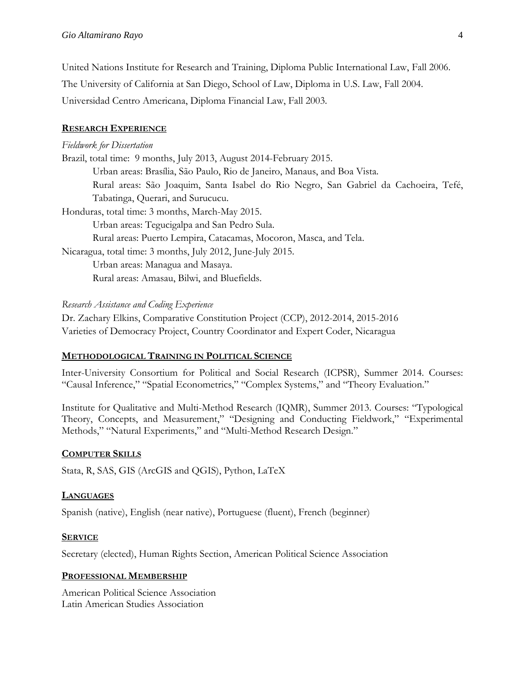United Nations Institute for Research and Training, Diploma Public International Law, Fall 2006. The University of California at San Diego, School of Law, Diploma in U.S. Law, Fall 2004. Universidad Centro Americana, Diploma Financial Law, Fall 2003.

# **RESEARCH EXPERIENCE**

### *Fieldwork for Dissertation*

Brazil, total time: 9 months, July 2013, August 2014-February 2015. Urban areas: Brasília, São Paulo, Rio de Janeiro, Manaus, and Boa Vista. Rural areas: São Joaquim, Santa Isabel do Rio Negro, San Gabriel da Cachoeira, Tefé, Tabatinga, Querari, and Surucucu. Honduras, total time: 3 months, March-May 2015. Urban areas: Tegucigalpa and San Pedro Sula. Rural areas: Puerto Lempira, Catacamas, Mocoron, Masca, and Tela. Nicaragua, total time: 3 months, July 2012, June-July 2015. Urban areas: Managua and Masaya. Rural areas: Amasau, Bilwi, and Bluefields.

### *Research Assistance and Coding Experience*

Dr. Zachary Elkins, Comparative Constitution Project (CCP), 2012-2014, 2015-2016 Varieties of Democracy Project, Country Coordinator and Expert Coder, Nicaragua

# **METHODOLOGICAL TRAINING IN POLITICAL SCIENCE**

Inter-University Consortium for Political and Social Research (ICPSR), Summer 2014. Courses: "Causal Inference," "Spatial Econometrics," "Complex Systems," and "Theory Evaluation."

Institute for Qualitative and Multi-Method Research (IQMR), Summer 2013. Courses: "Typological Theory, Concepts, and Measurement," "Designing and Conducting Fieldwork," "Experimental Methods," "Natural Experiments," and "Multi-Method Research Design."

# **COMPUTER SKILLS**

Stata, R, SAS, GIS (ArcGIS and QGIS), Python, LaTeX

# **LANGUAGES**

Spanish (native), English (near native), Portuguese (fluent), French (beginner)

# **SERVICE**

Secretary (elected), Human Rights Section, American Political Science Association

# **PROFESSIONAL MEMBERSHIP**

American Political Science Association Latin American Studies Association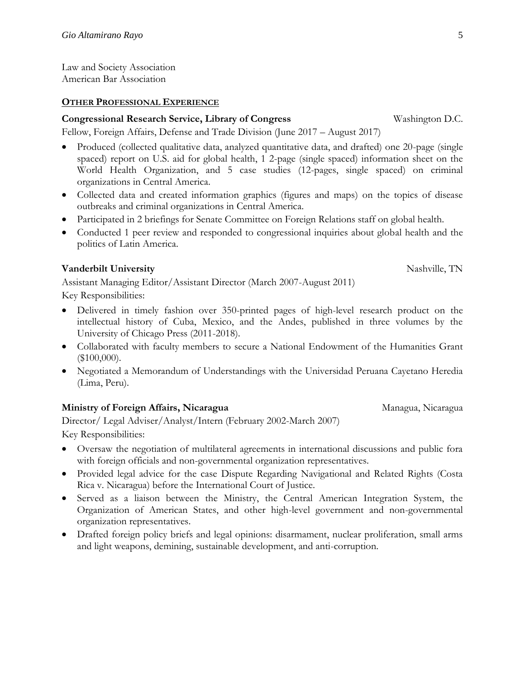Law and Society Association American Bar Association

#### **OTHER PROFESSIONAL EXPERIENCE**

### **Congressional Research Service, Library of Congress** Washington D.C.

Fellow, Foreign Affairs, Defense and Trade Division (June 2017 – August 2017)

- Produced (collected qualitative data, analyzed quantitative data, and drafted) one 20-page (single spaced) report on U.S. aid for global health, 1 2-page (single spaced) information sheet on the World Health Organization, and 5 case studies (12-pages, single spaced) on criminal organizations in Central America.
- Collected data and created information graphics (figures and maps) on the topics of disease outbreaks and criminal organizations in Central America.
- Participated in 2 briefings for Senate Committee on Foreign Relations staff on global health.
- Conducted 1 peer review and responded to congressional inquiries about global health and the politics of Latin America.

# **Vanderbilt University**

Assistant Managing Editor/Assistant Director (March 2007-August 2011)

Key Responsibilities:

- Delivered in timely fashion over 350-printed pages of high-level research product on the intellectual history of Cuba, Mexico, and the Andes, published in three volumes by the University of Chicago Press (2011-2018).
- Collaborated with faculty members to secure a National Endowment of the Humanities Grant (\$100,000).
- Negotiated a Memorandum of Understandings with the Universidad Peruana Cayetano Heredia (Lima, Peru).

# **Ministry of Foreign Affairs, Nicaragua**

Director/ Legal Adviser/Analyst/Intern (February 2002-March 2007) Key Responsibilities:

- Oversaw the negotiation of multilateral agreements in international discussions and public fora with foreign officials and non-governmental organization representatives.
- Provided legal advice for the case Dispute Regarding Navigational and Related Rights (Costa Rica v. Nicaragua) before the International Court of Justice.
- Served as a liaison between the Ministry, the Central American Integration System, the Organization of American States, and other high-level government and non-governmental organization representatives.
- Drafted foreign policy briefs and legal opinions: disarmament, nuclear proliferation, small arms and light weapons, demining, sustainable development, and anti-corruption.

Managua, Nicaragua

Nashville, TN